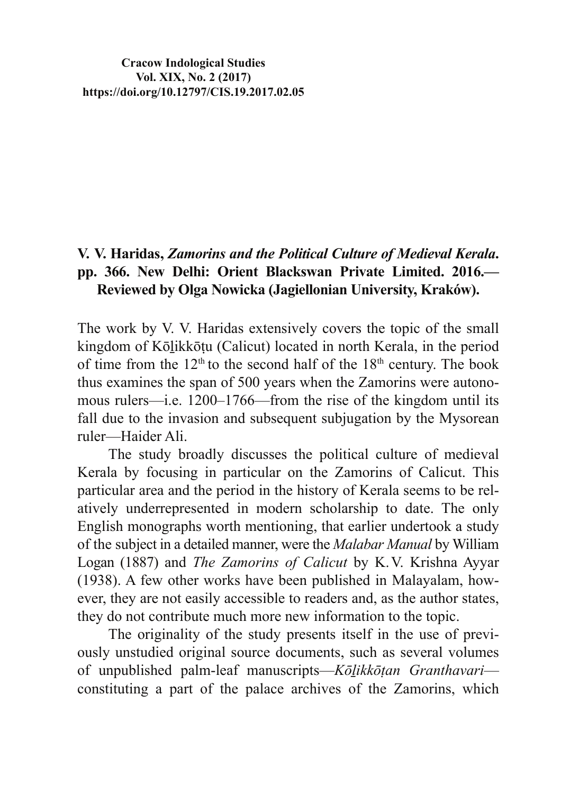**Cracow Indological Studies Vol. XIX, No. 2 (2017) https://doi.org/10.12797/CIS.19.2017.02.05**

## **994** V. V. Haridas, Zamorins and the Political Culture of Medieval Kerala. **pp. 366. New Delhi: Orient Blackswan Private Limited. 2016.— Reviewed by Olga Nowicka (Jagiellonian University, Kraków).**

The work by V. V. Haridas extensively covers the topic of the small kingdom of Kōlikkōtu (Calicut) located in north Kerala, in the period of time from the  $12<sup>th</sup>$  to the second half of the  $18<sup>th</sup>$  century. The book thus examines the span of 500 years when the Zamorins were autonomous rulers—i.e. 1200–1766—from the rise of the kingdom until its fall due to the invasion and subsequent subjugation by the Mysorean ruler—Haider Ali.

The study broadly discusses the political culture of medieval Kerala by focusing in particular on the Zamorins of Calicut. This particular area and the period in the history of Kerala seems to be relatively underrepresented in modern scholarship to date. The only English monographs worth mentioning, that earlier undertook a study of the subject in a detailed manner, were the *Malabar Manual* by William Logan (1887) and *The Zamorins of Calicut* by K.V. Krishna Ayyar  $(1938)$ . A few other works have been published in Malayalam, however, they are not easily accessible to readers and, as the author states, they do not contribute much more new information to the topic.

The originality of the study presents itself in the use of previously unstudied original source documents, such as several volumes of unpublished palm-leaf manuscripts—Kōlikkōțan Granthavariconstituting a part of the palace archives of the Zamorins, which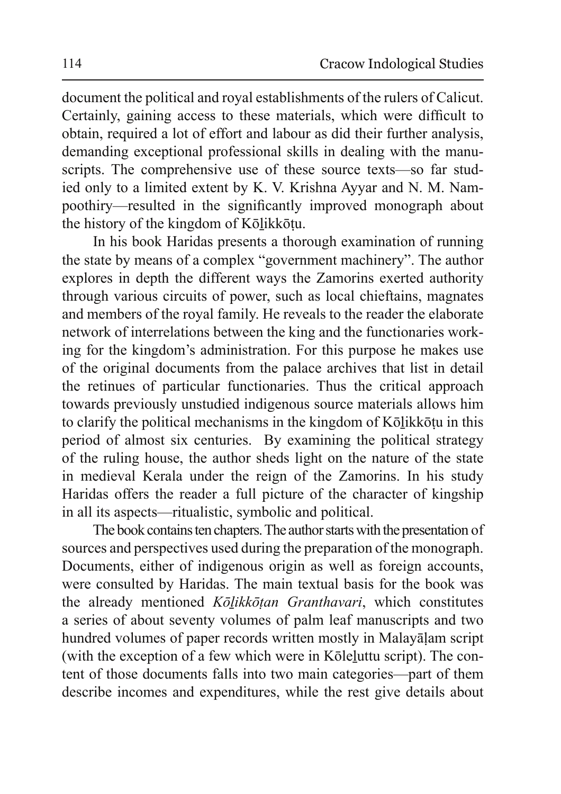document the political and royal establishments of the rulers of Calicut. Certainly, gaining access to these materials, which were difficult to obtain, required a lot of effort and labour as did their further analysis, demanding exceptional professional skills in dealing with the manuscripts. The comprehensive use of these source texts—so far studied only to a limited extent by K. V. Krishna Ayyar and N. M. Nampoothiry—resulted in the significantly improved monograph about the history of the kingdom of Kōlikkōtu.

In his book Haridas presents a thorough examination of running the state by means of a complex "government machinery". The author explores in depth the different ways the Zamorins exerted authority through various circuits of power, such as local chieftains, magnates and members of the roval family. He reveals to the reader the elaborate network of interrelations between the king and the functionaries working for the kingdom's administration. For this purpose he makes use of the original documents from the palace archives that list in detail the retinues of particular functionaries. Thus the critical approach towards previously unstudied indigenous source materials allows him to clarify the political mechanisms in the kingdom of Kōlikkōțu in this period of almost six centuries. By examining the political strategy of the ruling house, the author sheds light on the nature of the state in medieval Kerala under the reign of the Zamorins. In his study Haridas offers the reader a full picture of the character of kingship in all its aspects—ritualistic, symbolic and political.

The book contains ten chapters. The author starts with the presentation of sources and perspectives used during the preparation of the monograph. Documents, either of indigenous origin as well as foreign accounts, were consulted by Haridas. The main textual basis for the book was the already mentioned *Kōlikkōtan Granthavari*, which constitutes a series of about seventy volumes of palm leaf manuscripts and two hundred volumes of paper records written mostly in Malayalam script (with the exception of a few which were in Köleluttu script). The content of those documents falls into two main categories—part of them describe incomes and expenditures, while the rest give details about